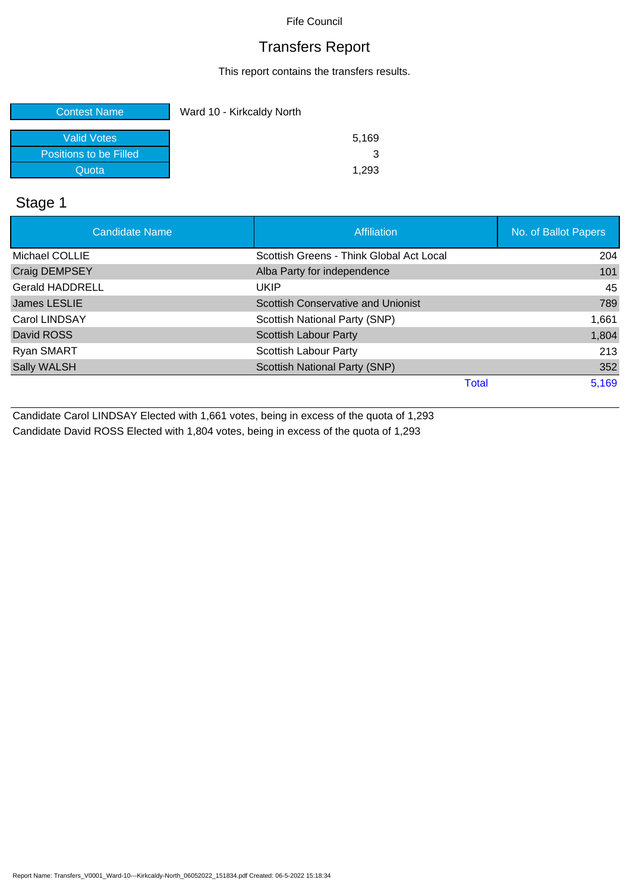## Transfers Report

This report contains the transfers results.

| <b>Contest Name</b>    | Ward 10 - Kirkcaldy North |
|------------------------|---------------------------|
| Valid Votes            | 5,169                     |
| Positions to be Filled | 3                         |
| Quota                  | 1.293                     |

## Stage 1

| <b>Candidate Name</b>  | <b>Affiliation</b>                       | No. of Ballot Papers |
|------------------------|------------------------------------------|----------------------|
| Michael COLLIE         | Scottish Greens - Think Global Act Local | 204                  |
| Craig DEMPSEY          | Alba Party for independence              | 101                  |
| <b>Gerald HADDRELL</b> | <b>UKIP</b>                              | 45                   |
| James LESLIE           | Scottish Conservative and Unionist       | 789                  |
| Carol LINDSAY          | Scottish National Party (SNP)            | 1,661                |
| David ROSS             | <b>Scottish Labour Party</b>             | 1,804                |
| Ryan SMART             | Scottish Labour Party                    | 213                  |
| Sally WALSH            | Scottish National Party (SNP)            | 352                  |
|                        | Total                                    | 5,169                |

Candidate Carol LINDSAY Elected with 1,661 votes, being in excess of the quota of 1,293 Candidate David ROSS Elected with 1,804 votes, being in excess of the quota of 1,293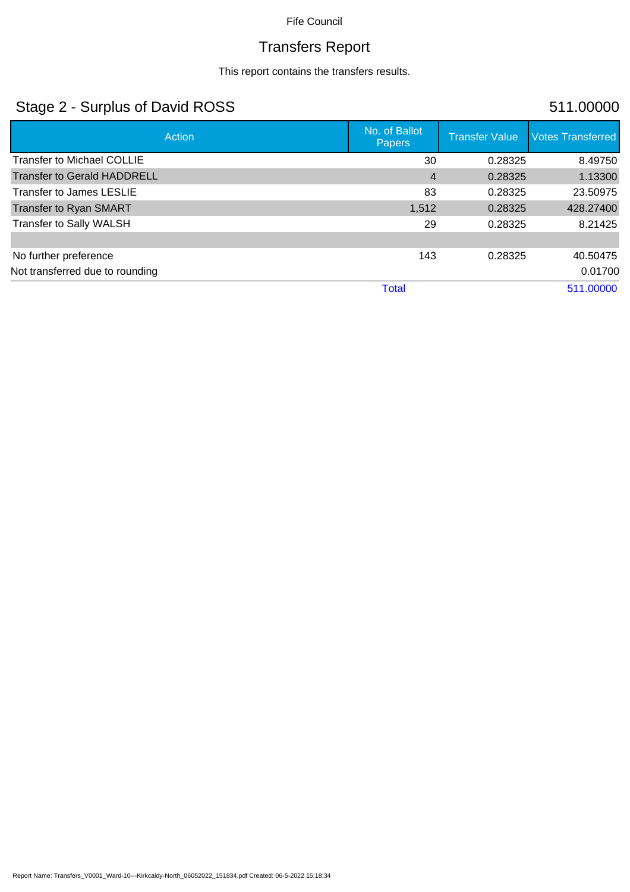# Transfers Report

This report contains the transfers results.

## Stage 2 - Surplus of David ROSS 511.00000

| Action                             | No. of Ballot<br><b>Papers</b> | <b>Transfer Value</b> | <b>Votes Transferred</b> |
|------------------------------------|--------------------------------|-----------------------|--------------------------|
| <b>Transfer to Michael COLLIE</b>  | 30                             | 0.28325               | 8.49750                  |
| <b>Transfer to Gerald HADDRELL</b> | $\overline{4}$                 | 0.28325               | 1.13300                  |
| Transfer to James LESLIE           | 83                             | 0.28325               | 23.50975                 |
| Transfer to Ryan SMART             | 1,512                          | 0.28325               | 428.27400                |
| Transfer to Sally WALSH            | 29                             | 0.28325               | 8.21425                  |
|                                    |                                |                       |                          |
| No further preference              | 143                            | 0.28325               | 40.50475                 |
| Not transferred due to rounding    |                                |                       | 0.01700                  |
|                                    | <b>Total</b>                   |                       | 511.00000                |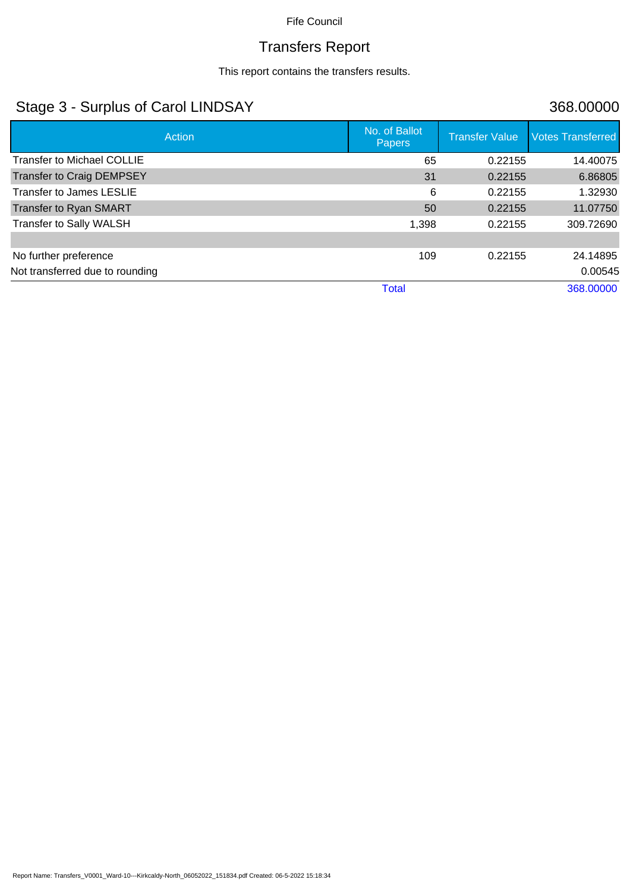# Transfers Report

This report contains the transfers results.

## Stage 3 - Surplus of Carol LINDSAY 368.00000

| Action                            | No. of Ballot<br><b>Papers</b> | <b>Transfer Value</b> | <b>Votes Transferred</b> |
|-----------------------------------|--------------------------------|-----------------------|--------------------------|
| <b>Transfer to Michael COLLIE</b> | 65                             | 0.22155               | 14.40075                 |
| <b>Transfer to Craig DEMPSEY</b>  | 31                             | 0.22155               | 6.86805                  |
| <b>Transfer to James LESLIE</b>   | 6                              | 0.22155               | 1.32930                  |
| <b>Transfer to Ryan SMART</b>     | 50                             | 0.22155               | 11.07750                 |
| Transfer to Sally WALSH           | 1,398                          | 0.22155               | 309.72690                |
|                                   |                                |                       |                          |
| No further preference             | 109                            | 0.22155               | 24.14895                 |
| Not transferred due to rounding   |                                |                       | 0.00545                  |
|                                   | <b>Total</b>                   |                       | 368.00000                |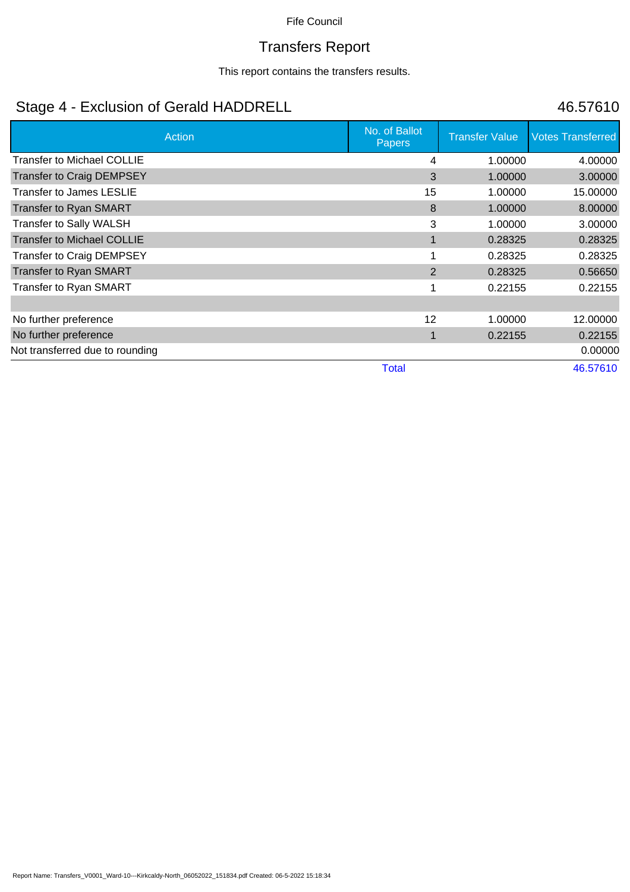# Transfers Report

This report contains the transfers results.

# Stage 4 - Exclusion of Gerald HADDRELL 46.57610

| <b>Action</b>                     | No. of Ballot<br><b>Papers</b> | <b>Transfer Value</b> | <b>Votes Transferred</b> |
|-----------------------------------|--------------------------------|-----------------------|--------------------------|
| <b>Transfer to Michael COLLIE</b> | 4                              | 1.00000               | 4.00000                  |
| <b>Transfer to Craig DEMPSEY</b>  | 3                              | 1.00000               | 3.00000                  |
| <b>Transfer to James LESLIE</b>   | 15                             | 1.00000               | 15.00000                 |
| <b>Transfer to Ryan SMART</b>     | 8                              | 1.00000               | 8.00000                  |
| Transfer to Sally WALSH           | 3                              | 1.00000               | 3.00000                  |
| <b>Transfer to Michael COLLIE</b> |                                | 0.28325               | 0.28325                  |
| <b>Transfer to Craig DEMPSEY</b>  |                                | 0.28325               | 0.28325                  |
| <b>Transfer to Ryan SMART</b>     | 2                              | 0.28325               | 0.56650                  |
| Transfer to Ryan SMART            |                                | 0.22155               | 0.22155                  |
|                                   |                                |                       |                          |
| No further preference             | 12                             | 1.00000               | 12.00000                 |
| No further preference             |                                | 0.22155               | 0.22155                  |
| Not transferred due to rounding   |                                |                       | 0.00000                  |
|                                   | <b>Total</b>                   |                       | 46.57610                 |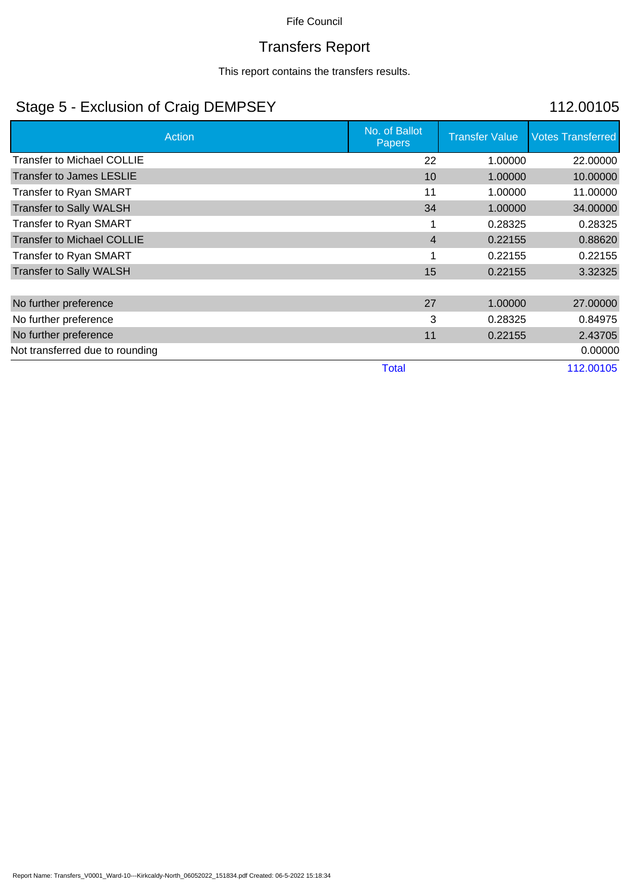# Transfers Report

This report contains the transfers results.

## Stage 5 - Exclusion of Craig DEMPSEY 112.00105

| Action                            | No. of Ballot<br><b>Papers</b> | <b>Transfer Value</b> | <b>Votes Transferred</b> |
|-----------------------------------|--------------------------------|-----------------------|--------------------------|
| <b>Transfer to Michael COLLIE</b> | 22                             | 1.00000               | 22.00000                 |
| <b>Transfer to James LESLIE</b>   | 10                             | 1.00000               | 10.00000                 |
| Transfer to Ryan SMART            | 11                             | 1.00000               | 11.00000                 |
| <b>Transfer to Sally WALSH</b>    | 34                             | 1.00000               | 34.00000                 |
| Transfer to Ryan SMART            |                                | 0.28325               | 0.28325                  |
| <b>Transfer to Michael COLLIE</b> | $\overline{4}$                 | 0.22155               | 0.88620                  |
| Transfer to Ryan SMART            |                                | 0.22155               | 0.22155                  |
| <b>Transfer to Sally WALSH</b>    | 15                             | 0.22155               | 3.32325                  |
|                                   |                                |                       |                          |
| No further preference             | 27                             | 1.00000               | 27.00000                 |
| No further preference             | 3                              | 0.28325               | 0.84975                  |
| No further preference             | 11                             | 0.22155               | 2.43705                  |
| Not transferred due to rounding   |                                |                       | 0.00000                  |
|                                   | <b>Total</b>                   |                       | 112.00105                |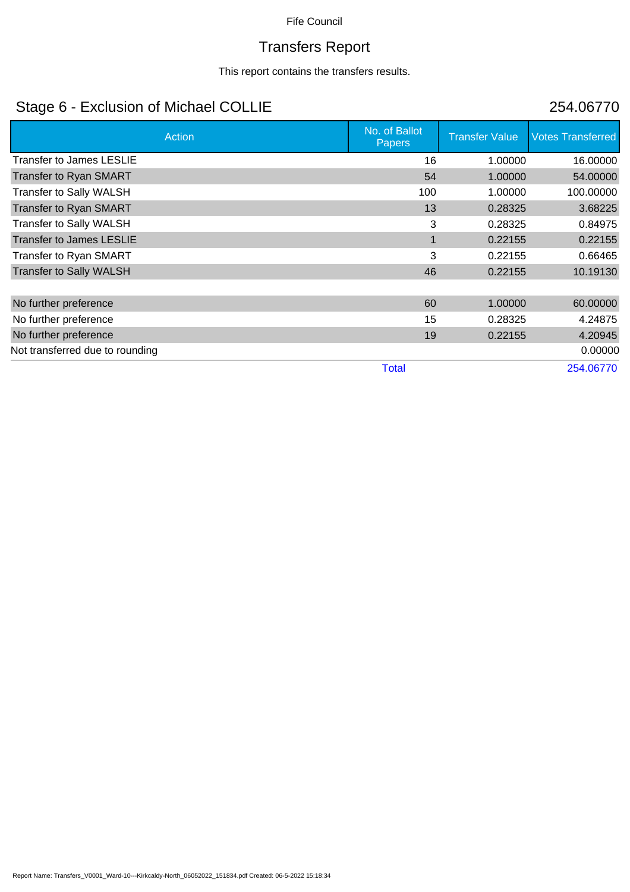# Transfers Report

This report contains the transfers results.

# Stage 6 - Exclusion of Michael COLLIE 254.06770

| Action                          | No. of Ballot<br><b>Papers</b> | <b>Transfer Value</b> | <b>Votes Transferred</b> |
|---------------------------------|--------------------------------|-----------------------|--------------------------|
| <b>Transfer to James LESLIE</b> | 16                             | 1.00000               | 16.00000                 |
| <b>Transfer to Ryan SMART</b>   | 54                             | 1.00000               | 54.00000                 |
| Transfer to Sally WALSH         | 100                            | 1.00000               | 100.00000                |
| <b>Transfer to Ryan SMART</b>   | 13                             | 0.28325               | 3.68225                  |
| Transfer to Sally WALSH         | 3                              | 0.28325               | 0.84975                  |
| <b>Transfer to James LESLIE</b> | 1                              | 0.22155               | 0.22155                  |
| Transfer to Ryan SMART          | 3                              | 0.22155               | 0.66465                  |
| <b>Transfer to Sally WALSH</b>  | 46                             | 0.22155               | 10.19130                 |
|                                 |                                |                       |                          |
| No further preference           | 60                             | 1.00000               | 60.00000                 |
| No further preference           | 15                             | 0.28325               | 4.24875                  |
| No further preference           | 19                             | 0.22155               | 4.20945                  |
| Not transferred due to rounding |                                |                       | 0.00000                  |
|                                 | <b>Total</b>                   |                       | 254.06770                |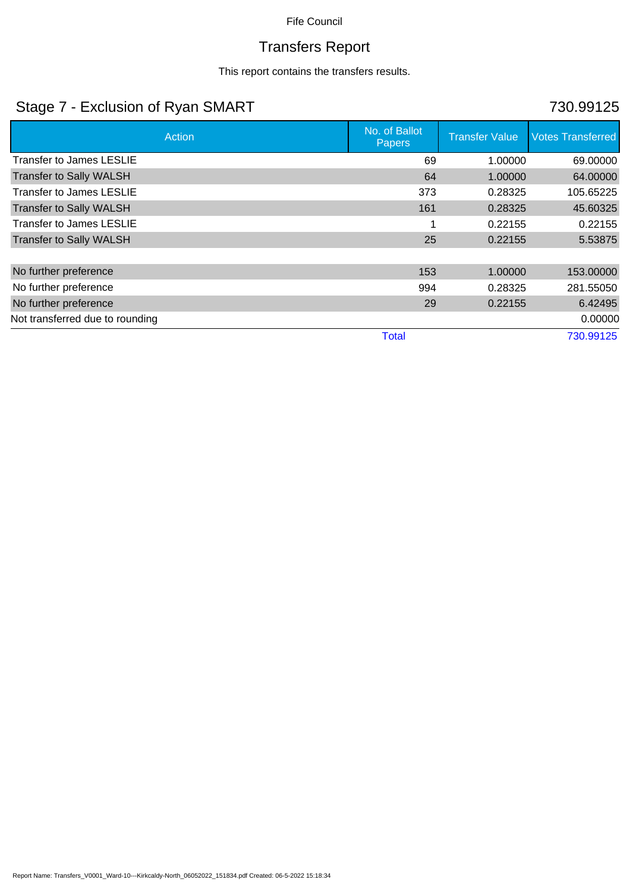# Transfers Report

This report contains the transfers results.

## Stage 7 - Exclusion of Ryan SMART 730.99125

| Action                          | No. of Ballot<br><b>Papers</b> | <b>Transfer Value</b> | <b>Votes Transferred</b> |
|---------------------------------|--------------------------------|-----------------------|--------------------------|
| Transfer to James LESLIE        | 69                             | 1.00000               | 69.00000                 |
| <b>Transfer to Sally WALSH</b>  | 64                             | 1.00000               | 64.00000                 |
| <b>Transfer to James LESLIE</b> | 373                            | 0.28325               | 105.65225                |
| <b>Transfer to Sally WALSH</b>  | 161                            | 0.28325               | 45.60325                 |
| Transfer to James LESLIE        |                                | 0.22155               | 0.22155                  |
| <b>Transfer to Sally WALSH</b>  | 25                             | 0.22155               | 5.53875                  |
|                                 |                                |                       |                          |
| No further preference           | 153                            | 1.00000               | 153.00000                |
| No further preference           | 994                            | 0.28325               | 281.55050                |
| No further preference           | 29                             | 0.22155               | 6.42495                  |
| Not transferred due to rounding |                                |                       | 0.00000                  |
|                                 | <b>Total</b>                   |                       | 730.99125                |